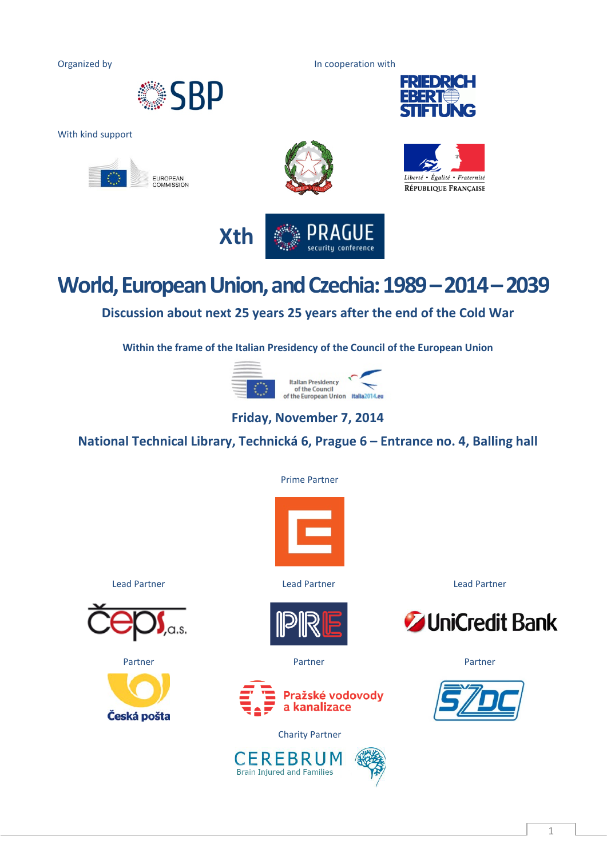Organized by **In cooperation with** 



With kind support







RÉPUBLIQUE FRANÇAISE

UNG

**FRIEDRICH** 



## **World, European Union,and Czechia: 1989 –2014 –2039**

**Discussion about next 25 years 25 years after the end of the Cold War**

**Within the frame of the Italian Presidency of the Council of the European Union**



## **Friday, November 7, 2014**

**National Technical Library, Technická 6, Prague 6 – Entrance no. 4, Balling hall**

Prime Partner











Charity Partner



Lead Partner Lead Partner Lead Partner



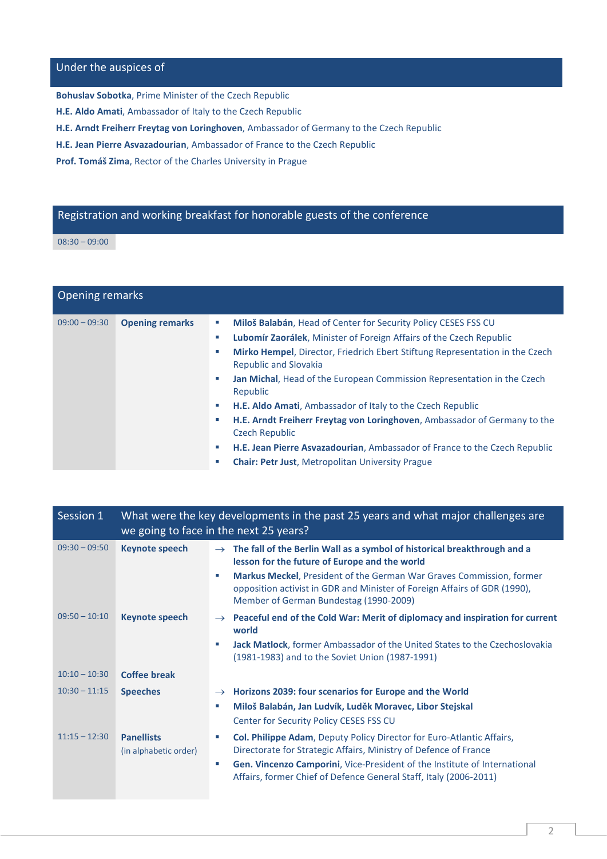## Under the auspices of

**Bohuslav Sobotka**, Prime Minister of the Czech Republic

**H.E. Aldo Amati**, Ambassador of Italy to the Czech Republic

**H.E. Arndt Freiherr Freytag von Loringhoven**, Ambassador of Germany to the Czech Republic

**H.E. Jean Pierre Asvazadourian**, Ambassador of France to the Czech Republic

**Prof. Tomáš Zima**, Rector of the Charles University in Prague

## Registration and working breakfast for honorable guests of the conference

08:30 – 09:00

| <b>Opening remarks</b> |                        |                                                                                                                                                                                                                                                                                                                                                                                                                                                                                                                                                                                                                                                                                                                        |
|------------------------|------------------------|------------------------------------------------------------------------------------------------------------------------------------------------------------------------------------------------------------------------------------------------------------------------------------------------------------------------------------------------------------------------------------------------------------------------------------------------------------------------------------------------------------------------------------------------------------------------------------------------------------------------------------------------------------------------------------------------------------------------|
| $09:00 - 09:30$        | <b>Opening remarks</b> | Miloš Balabán, Head of Center for Security Policy CESES FSS CU<br>$\sim$<br>Lubomír Zaorálek, Minister of Foreign Affairs of the Czech Republic<br>u,<br>Mirko Hempel, Director, Friedrich Ebert Stiftung Representation in the Czech<br>a.<br><b>Republic and Slovakia</b><br><b>Jan Michal, Head of the European Commission Representation in the Czech</b><br>m.<br>Republic<br>H.E. Aldo Amati, Ambassador of Italy to the Czech Republic<br>ш<br><b>H.E. Arndt Freiherr Freytag von Loringhoven</b> , Ambassador of Germany to the<br>a.<br><b>Czech Republic</b><br>H.E. Jean Pierre Asvazadourian, Ambassador of France to the Czech Republic<br>a a<br><b>Chair: Petr Just, Metropolitan University Prague</b> |

| Session 1       | What were the key developments in the past 25 years and what major challenges are<br>we going to face in the next 25 years? |                                                                                                                                                                                                                                                                                                         |
|-----------------|-----------------------------------------------------------------------------------------------------------------------------|---------------------------------------------------------------------------------------------------------------------------------------------------------------------------------------------------------------------------------------------------------------------------------------------------------|
| $09:30 - 09:50$ | <b>Keynote speech</b>                                                                                                       | The fall of the Berlin Wall as a symbol of historical breakthrough and a<br>$\rightarrow$<br>lesson for the future of Europe and the world                                                                                                                                                              |
|                 |                                                                                                                             | <b>Markus Meckel, President of the German War Graves Commission, former</b><br>×.<br>opposition activist in GDR and Minister of Foreign Affairs of GDR (1990),<br>Member of German Bundestag (1990-2009)                                                                                                |
| $09:50 - 10:10$ | <b>Keynote speech</b>                                                                                                       | Peaceful end of the Cold War: Merit of diplomacy and inspiration for current<br>$\rightarrow$<br>world                                                                                                                                                                                                  |
|                 |                                                                                                                             | Jack Matlock, former Ambassador of the United States to the Czechoslovakia<br>×.<br>(1981-1983) and to the Soviet Union (1987-1991)                                                                                                                                                                     |
| $10:10 - 10:30$ | <b>Coffee break</b>                                                                                                         |                                                                                                                                                                                                                                                                                                         |
| $10:30 - 11:15$ | <b>Speeches</b>                                                                                                             | Horizons 2039: four scenarios for Europe and the World<br>$\rightarrow$<br>Miloš Balabán, Jan Ludvík, Luděk Moravec, Libor Stejskal<br>and the<br>Center for Security Policy CESES FSS CU                                                                                                               |
| $11:15 - 12:30$ | <b>Panellists</b><br>(in alphabetic order)                                                                                  | Col. Philippe Adam, Deputy Policy Director for Euro-Atlantic Affairs,<br>u,<br>Directorate for Strategic Affairs, Ministry of Defence of France<br>Gen. Vincenzo Camporini, Vice-President of the Institute of International<br>a.<br>Affairs, former Chief of Defence General Staff, Italy (2006-2011) |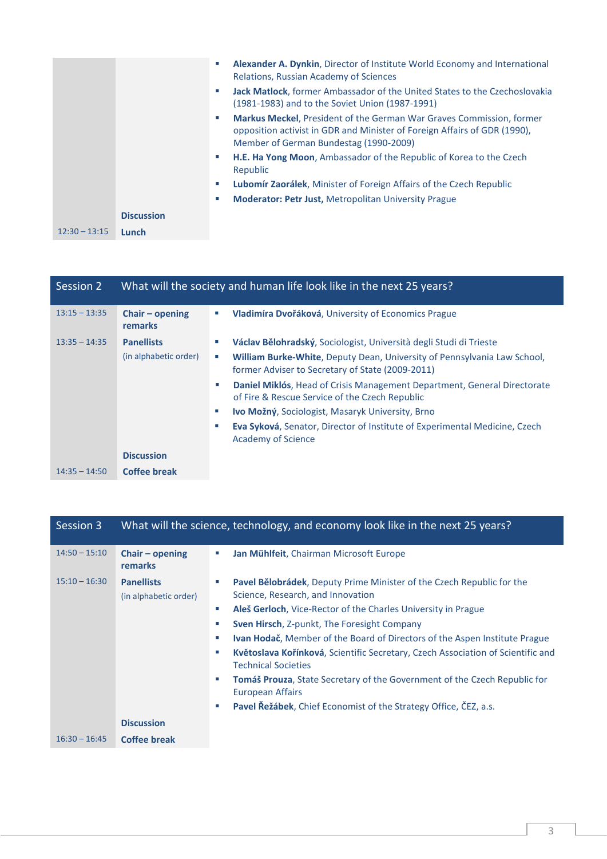|                 |                   | Alexander A. Dynkin, Director of Institute World Economy and International<br>a.<br>Relations, Russian Academy of Sciences<br>Jack Matlock, former Ambassador of the United States to the Czechoslovakia<br>a.<br>(1981-1983) and to the Soviet Union (1987-1991) |
|-----------------|-------------------|-------------------------------------------------------------------------------------------------------------------------------------------------------------------------------------------------------------------------------------------------------------------|
|                 |                   | <b>Markus Meckel, President of the German War Graves Commission, former</b><br>a.<br>opposition activist in GDR and Minister of Foreign Affairs of GDR (1990),<br>Member of German Bundestag (1990-2009)                                                          |
|                 |                   | H.E. Ha Yong Moon, Ambassador of the Republic of Korea to the Czech<br>×.<br>Republic                                                                                                                                                                             |
|                 |                   | <b>Lubomír Zaorálek, Minister of Foreign Affairs of the Czech Republic</b><br>×.                                                                                                                                                                                  |
|                 |                   | <b>Moderator: Petr Just, Metropolitan University Prague</b><br>a.                                                                                                                                                                                                 |
|                 | <b>Discussion</b> |                                                                                                                                                                                                                                                                   |
| $12:30 - 13:15$ | Lunch             |                                                                                                                                                                                                                                                                   |

| Session 2       |                                     | What will the society and human life look like in the next 25 years?                                                              |
|-----------------|-------------------------------------|-----------------------------------------------------------------------------------------------------------------------------------|
| $13:15 - 13:35$ | Chair $-$ opening<br><b>remarks</b> | Vladimíra Dvořáková, University of Economics Prague<br>ш                                                                          |
| $13:35 - 14:35$ | <b>Panellists</b>                   | Václav Bělohradský, Sociologist, Università degli Studi di Trieste<br>and the                                                     |
|                 | (in alphabetic order)               | William Burke-White, Deputy Dean, University of Pennsylvania Law School,<br>ш<br>former Adviser to Secretary of State (2009-2011) |
|                 |                                     | Daniel Miklós, Head of Crisis Management Department, General Directorate<br>×.<br>of Fire & Rescue Service of the Czech Republic  |
|                 |                                     | Ivo Možný, Sociologist, Masaryk University, Brno<br>ш                                                                             |
|                 |                                     | Eva Syková, Senator, Director of Institute of Experimental Medicine, Czech<br>and the<br><b>Academy of Science</b>                |
|                 | <b>Discussion</b>                   |                                                                                                                                   |
| $14:35 - 14:50$ | <b>Coffee break</b>                 |                                                                                                                                   |

| Session 3       |                                            | What will the science, technology, and economy look like in the next 25 years?                                                                                                             |
|-----------------|--------------------------------------------|--------------------------------------------------------------------------------------------------------------------------------------------------------------------------------------------|
| $14:50 - 15:10$ | Chair $-$ opening<br><b>remarks</b>        | Jan Mühlfeit, Chairman Microsoft Europe<br>u,                                                                                                                                              |
| $15:10 - 16:30$ | <b>Panellists</b><br>(in alphabetic order) | Pavel Bělobrádek, Deputy Prime Minister of the Czech Republic for the<br>and a<br>Science, Research, and Innovation<br>Aleš Gerloch, Vice-Rector of the Charles University in Prague<br>×. |
|                 |                                            | <b>Sven Hirsch, Z-punkt, The Foresight Company</b><br>a.                                                                                                                                   |
|                 |                                            | <b>Ivan Hodač</b> , Member of the Board of Directors of the Aspen Institute Prague<br>a.                                                                                                   |
|                 |                                            | Květoslava Kořínková, Scientific Secretary, Czech Association of Scientific and<br>a.<br><b>Technical Societies</b>                                                                        |
|                 |                                            | Tomáš Prouza, State Secretary of the Government of the Czech Republic for<br>a.<br>European Affairs                                                                                        |
|                 |                                            | Pavel Řežábek, Chief Economist of the Strategy Office, ČEZ, a.s.<br>×.                                                                                                                     |
|                 | <b>Discussion</b>                          |                                                                                                                                                                                            |
| $16:30 - 16:45$ | <b>Coffee break</b>                        |                                                                                                                                                                                            |